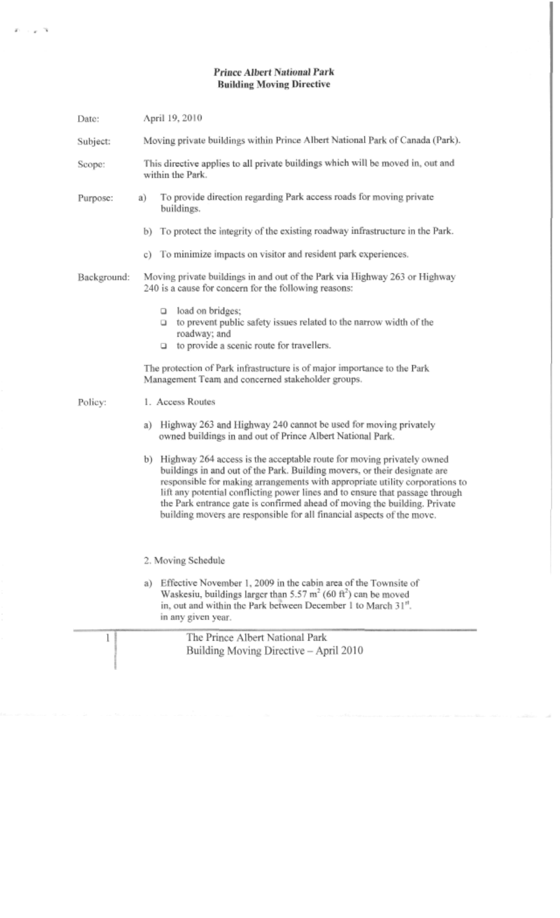# **Prince Albert National Park Building Moving Directive**

| Subject:    | Moving private buildings within Prince Albert National Park of Canada (Park).                                                                                                                                                                                                                                                                                                                                                                                                 |
|-------------|-------------------------------------------------------------------------------------------------------------------------------------------------------------------------------------------------------------------------------------------------------------------------------------------------------------------------------------------------------------------------------------------------------------------------------------------------------------------------------|
| Scope:      | This directive applies to all private buildings which will be moved in, out and<br>within the Park.                                                                                                                                                                                                                                                                                                                                                                           |
| Purpose:    | To provide direction regarding Park access roads for moving private<br>a)<br>buildings.                                                                                                                                                                                                                                                                                                                                                                                       |
|             | b) To protect the integrity of the existing roadway infrastructure in the Park.                                                                                                                                                                                                                                                                                                                                                                                               |
|             | c) To minimize impacts on visitor and resident park experiences.                                                                                                                                                                                                                                                                                                                                                                                                              |
| Background: | Moving private buildings in and out of the Park via Highway 263 or Highway<br>240 is a cause for concern for the following reasons:                                                                                                                                                                                                                                                                                                                                           |
|             | load on bridges;<br>o.<br>to prevent public safety issues related to the narrow width of the<br>roadway; and<br>to provide a scenic route for travellers.<br>$\Box$                                                                                                                                                                                                                                                                                                           |
|             | The protection of Park infrastructure is of major importance to the Park<br>Management Team and concerned stakeholder groups.                                                                                                                                                                                                                                                                                                                                                 |
| Policy:     | 1. Access Routes                                                                                                                                                                                                                                                                                                                                                                                                                                                              |
|             | a) Highway 263 and Highway 240 cannot be used for moving privately<br>owned buildings in and out of Prince Albert National Park.                                                                                                                                                                                                                                                                                                                                              |
|             | b) Highway 264 access is the acceptable route for moving privately owned<br>buildings in and out of the Park. Building movers, or their designate are<br>responsible for making arrangements with appropriate utility corporations to<br>lift any potential conflicting power lines and to ensure that passage through<br>the Park entrance gate is confirmed ahead of moving the building. Private<br>building movers are responsible for all financial aspects of the move. |
|             | 2. Moving Schedule                                                                                                                                                                                                                                                                                                                                                                                                                                                            |
|             | a) Effective November 1, 2009 in the cabin area of the Townsite of<br>Waskesiu, buildings larger than 5.57 $m2$ (60 ft <sup>2</sup> ) can be moved<br>in, out and within the Park between December 1 to March 31".<br>in any given year.                                                                                                                                                                                                                                      |
| L           | The Prince Albert National Park                                                                                                                                                                                                                                                                                                                                                                                                                                               |

Date:

 $\sim 10^{-12}$ 

April 19,2010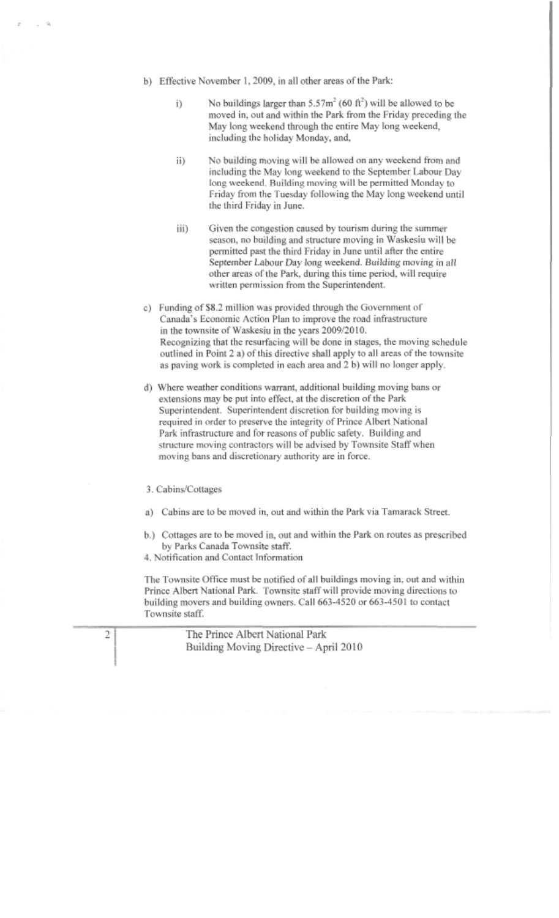- b) Effective November 1, 2009. in all other areas of the Park:
	- i) No buildings larger than  $5.57m^2$  (60 ft<sup>2</sup>) will be allowed to be moved in, out and within the Park from the Friday preceding the May long weekend through the entire May long weekend, including the holiday Monday, and,
	- ii) No building moving will be allowed on any weekend from and including the May long weekend to the September Labour Day long weekend. Building moving will be permitted Monday to Friday from the Tuesday following the May long weekend until the third Friday in June.
	- iii) Given the congestion caused by tourism during the summer season, no building and structure moving in Waskesiu will be permitted past the third Friday in June until after the entire September Labour Day long weekend. Building moving in all other areas of the Park, during this time period, will require written permission from the Superintendent.
- c) Funding of \$8.2 million was provided through the Government of Canada's Economic Action Plan to improve the road infrastructure in the townsite of Waskesiu in the years 2009/2010. Recognizing that the resurfacing wil! be done in stages, the moving schedule outlined in Point 2 a) of this directive shall apply to all areas of the townsite as paving work is completed in each area and 2 b) will no longer apply.
- d) Where weather conditions warrant, additional building moving bans or extensions may be put into effect, at the discretion of the Park Superintendent. Superintendent discretion for building moving is required in order to preserve the integrity of Prince Albert National Park infrastructure and for reasons of public safety. Building and structure moving contractors will he advised by Townsite Staff when moving bans and discretionary authority are in force.

#### 3. Cabins/Cottages

- a) Cabins are to be moved in, out and within the Park via Tamarack Street.
- **b.)** Cottages are to be moved in, out and within the Park on routes as prescribed by Parks Canada Townsite staff.
- 4. Notification and Contact Information

The Townsite Office must be notified of all buildings moving in, out and within Prince Albert National Park. Townsite staff will provide moving directions to building movers and building owners. Call 663-4520 or 663-4501 to contact Townsite staff.